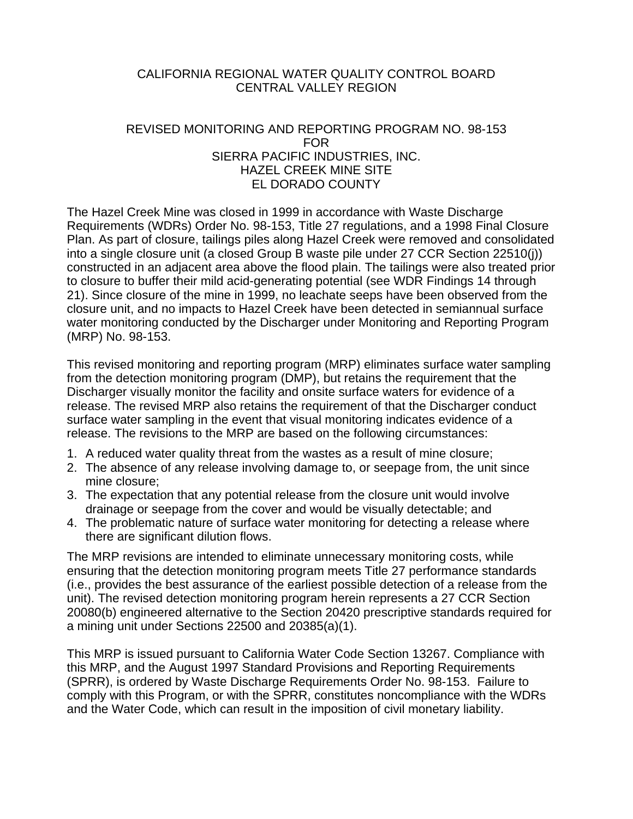## CALIFORNIA REGIONAL WATER QUALITY CONTROL BOARD CENTRAL VALLEY REGION

## REVISED MONITORING AND REPORTING PROGRAM NO. 98-153 FOR SIERRA PACIFIC INDUSTRIES, INC. HAZEL CREEK MINE SITE EL DORADO COUNTY

The Hazel Creek Mine was closed in 1999 in accordance with Waste Discharge Requirements (WDRs) Order No. 98-153, Title 27 regulations, and a 1998 Final Closure Plan. As part of closure, tailings piles along Hazel Creek were removed and consolidated into a single closure unit (a closed Group B waste pile under 27 CCR Section 22510(j)) constructed in an adjacent area above the flood plain. The tailings were also treated prior to closure to buffer their mild acid-generating potential (see WDR Findings 14 through 21). Since closure of the mine in 1999, no leachate seeps have been observed from the closure unit, and no impacts to Hazel Creek have been detected in semiannual surface water monitoring conducted by the Discharger under Monitoring and Reporting Program (MRP) No. 98-153.

This revised monitoring and reporting program (MRP) eliminates surface water sampling from the detection monitoring program (DMP), but retains the requirement that the Discharger visually monitor the facility and onsite surface waters for evidence of a release. The revised MRP also retains the requirement of that the Discharger conduct surface water sampling in the event that visual monitoring indicates evidence of a release. The revisions to the MRP are based on the following circumstances:

- 1. A reduced water quality threat from the wastes as a result of mine closure;
- 2. The absence of any release involving damage to, or seepage from, the unit since mine closure;
- 3. The expectation that any potential release from the closure unit would involve drainage or seepage from the cover and would be visually detectable; and
- 4. The problematic nature of surface water monitoring for detecting a release where there are significant dilution flows.

The MRP revisions are intended to eliminate unnecessary monitoring costs, while ensuring that the detection monitoring program meets Title 27 performance standards (i.e., provides the best assurance of the earliest possible detection of a release from the unit). The revised detection monitoring program herein represents a 27 CCR Section 20080(b) engineered alternative to the Section 20420 prescriptive standards required for a mining unit under Sections 22500 and 20385(a)(1).

This MRP is issued pursuant to California Water Code Section 13267. Compliance with this MRP, and the August 1997 Standard Provisions and Reporting Requirements (SPRR), is ordered by Waste Discharge Requirements Order No. 98-153. Failure to comply with this Program, or with the SPRR, constitutes noncompliance with the WDRs and the Water Code, which can result in the imposition of civil monetary liability.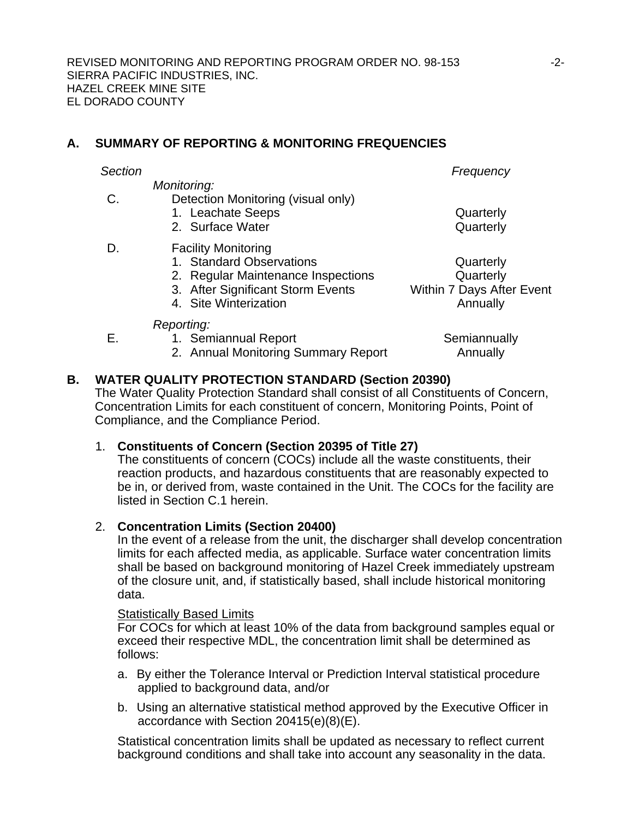# <span id="page-1-0"></span>**A. SUMMARY OF REPORTING & MONITORING FREQUENCIES**

*Monitoring:* 

- C. Detection Monitoring (visual only)
	- 1. Leachate Seeps **Quarterly**
	- 2. Surface Water **Quarterly**
- D. Facility Monitoring
	- 1. Standard Observations **Construction Quarterly**
	- 2. Regular Maintenance Inspections Quarterly
	- 3. After Significant Storm Events Within 7 Days After Event
	- 4. Site Winterization **Annually Annually**

*Section Frequency* 

- 
- 

**Semiannually Annually** 

- *Reporting:*
- E. 1. Semiannual Report
	- 2. Annual Monitoring Summary Report

# **B. WATER QUALITY PROTECTION STANDARD (Section 20390)**

The Water Quality Protection Standard shall consist of all Constituents of Concern, Concentration Limits for each constituent of concern, Monitoring Points, Point of Compliance, and the Compliance Period.

# 1. **Constituents of Concern (Section 20395 of Title 27)**

The constituents of concern (COCs) include all the waste constituents, their reaction products, and hazardous constituents that are reasonably expected to be in, or derived from, waste contained in the Unit. The COCs for the facility are listed in Section [C.1](#page-2-0) herein.

# 2. **Concentration Limits (Section 20400)**

In the event of a release from the unit, the discharger shall develop concentration limits for each affected media, as applicable. Surface water concentration limits shall be based on background monitoring of Hazel Creek immediately upstream of the closure unit, and, if statistically based, shall include historical monitoring data.

# Statistically Based Limits

For COCs for which at least 10% of the data from background samples equal or exceed their respective MDL, the concentration limit shall be determined as follows:

- a. By either the Tolerance Interval or Prediction Interval statistical procedure applied to background data, and/or
- b. Using an alternative statistical method approved by the Executive Officer in accordance with Section 20415(e)(8)(E).

Statistical concentration limits shall be updated as necessary to reflect current background conditions and shall take into account any seasonality in the data.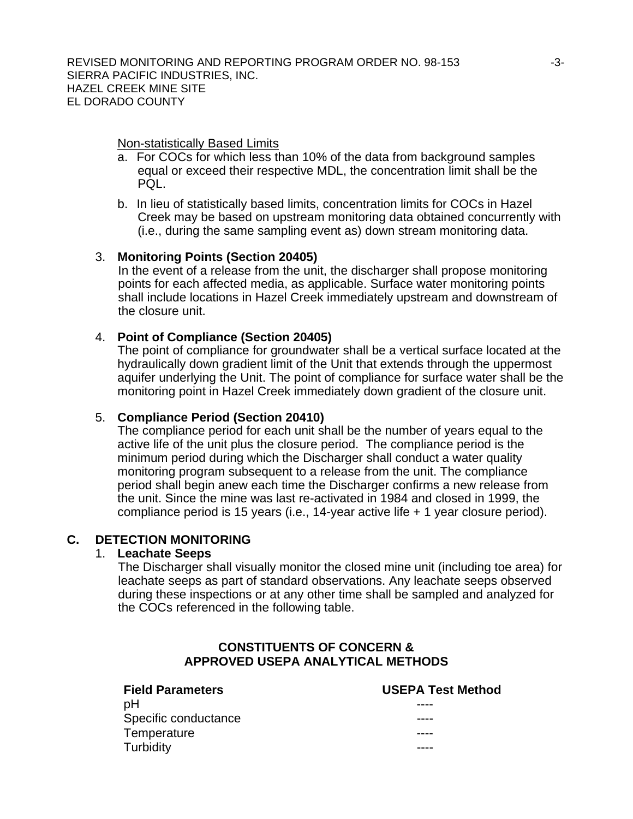Non-statistically Based Limits

- a. For COCs for which less than 10% of the data from background samples equal or exceed their respective MDL, the concentration limit shall be the PQL.
- b. In lieu of statistically based limits, concentration limits for COCs in Hazel Creek may be based on upstream monitoring data obtained concurrently with (i.e., during the same sampling event as) down stream monitoring data.

## 3. **Monitoring Points (Section 20405)**

In the event of a release from the unit, the discharger shall propose monitoring points for each affected media, as applicable. Surface water monitoring points shall include locations in Hazel Creek immediately upstream and downstream of the closure unit.

# 4. **Point of Compliance (Section 20405)**

The point of compliance for groundwater shall be a vertical surface located at the hydraulically down gradient limit of the Unit that extends through the uppermost aquifer underlying the Unit. The point of compliance for surface water shall be the monitoring point in Hazel Creek immediately down gradient of the closure unit.

# 5. **Compliance Period (Section 20410)**

The compliance period for each unit shall be the number of years equal to the active life of the unit plus the closure period. The compliance period is the minimum period during which the Discharger shall conduct a water quality monitoring program subsequent to a release from the unit. The compliance period shall begin anew each time the Discharger confirms a new release from the unit. Since the mine was last re-activated in 1984 and closed in 1999, the compliance period is 15 years (i.e., 14-year active life + 1 year closure period).

## <span id="page-2-0"></span>**C. DETECTION MONITORING**

## 1. **Leachate Seeps**

The Discharger shall visually monitor the closed mine unit (including toe area) for leachate seeps as part of standard observations. Any leachate seeps observed during these inspections or at any other time shall be sampled and analyzed for the COCs referenced in the following table.

# **CONSTITUENTS OF CONCERN & APPROVED USEPA ANALYTICAL METHODS**

## **Field Parameters USEPA Test Method**  pH ---- Specific conductance Temperature Turbidity and the state of the state of the state of the state of the state of the state of the state of the s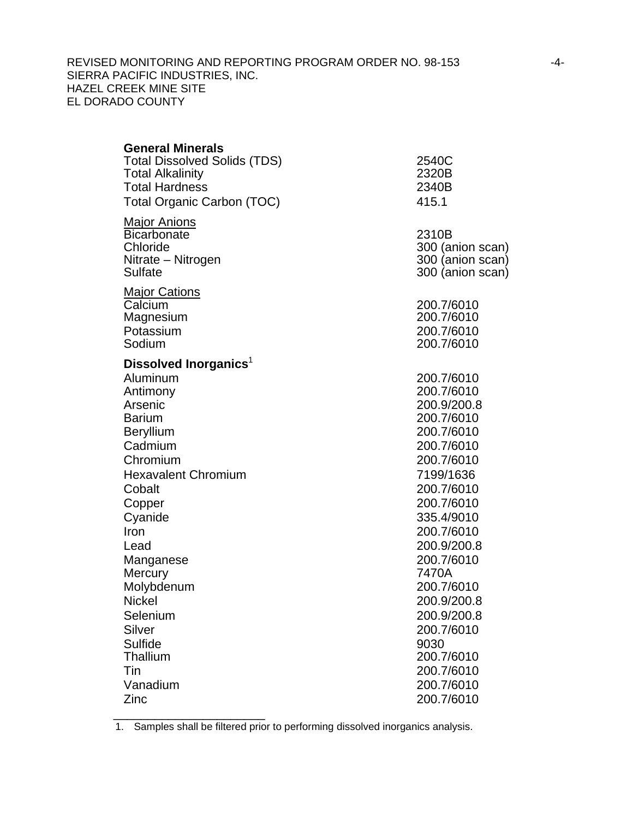## REVISED MONITORING AND REPORTING PROGRAM ORDER NO. 98-153 -4-SIERRA PACIFIC INDUSTRIES, INC. HAZEL CREEK MINE SITE EL DORADO COUNTY

| <b>General Minerals</b><br><b>Total Dissolved Solids (TDS)</b><br><b>Total Alkalinity</b><br><b>Total Hardness</b><br><b>Total Organic Carbon (TOC)</b>                            | 2540C<br>2320B<br>2340B<br>415.1                                                                                                         |
|------------------------------------------------------------------------------------------------------------------------------------------------------------------------------------|------------------------------------------------------------------------------------------------------------------------------------------|
| <u> Major Anions</u><br><b>Bicarbonate</b><br>Chloride<br>Nitrate – Nitrogen<br><b>Sulfate</b>                                                                                     | 2310B<br>300 (anion scan)<br>300 (anion scan)<br>300 (anion scan)                                                                        |
| <u> Major Cations</u><br>Calcium<br>Magnesium<br>Potassium<br>Sodium                                                                                                               | 200.7/6010<br>200.7/6010<br>200.7/6010<br>200.7/6010                                                                                     |
| Dissolved Inorganics <sup>1</sup><br>Aluminum<br>Antimony<br>Arsenic<br><b>Barium</b><br><b>Beryllium</b><br>Cadmium<br>Chromium<br><b>Hexavalent Chromium</b><br>Cobalt<br>Copper | 200.7/6010<br>200.7/6010<br>200.9/200.8<br>200.7/6010<br>200.7/6010<br>200.7/6010<br>200.7/6010<br>7199/1636<br>200.7/6010<br>200.7/6010 |
| Cyanide<br>Iron<br>Lead<br>Manganese<br>Mercury<br>Molybdenum<br><b>Nickel</b>                                                                                                     | 335.4/9010<br>200.7/6010<br>200.9/200.8<br>200.7/6010<br>7470A<br>200.7/6010<br>200.9/200.8                                              |
| Selenium<br>Silver<br>Sulfide<br>Thallium<br>Tin<br>Vanadium<br>Zinc                                                                                                               | 200.9/200.8<br>200.7/6010<br>9030<br>200.7/6010<br>200.7/6010<br>200.7/6010<br>200.7/6010                                                |

1. Samples shall be filtered prior to performing dissolved inorganics analysis.

\_\_\_\_\_\_\_\_\_\_\_\_\_\_\_\_\_\_\_\_\_\_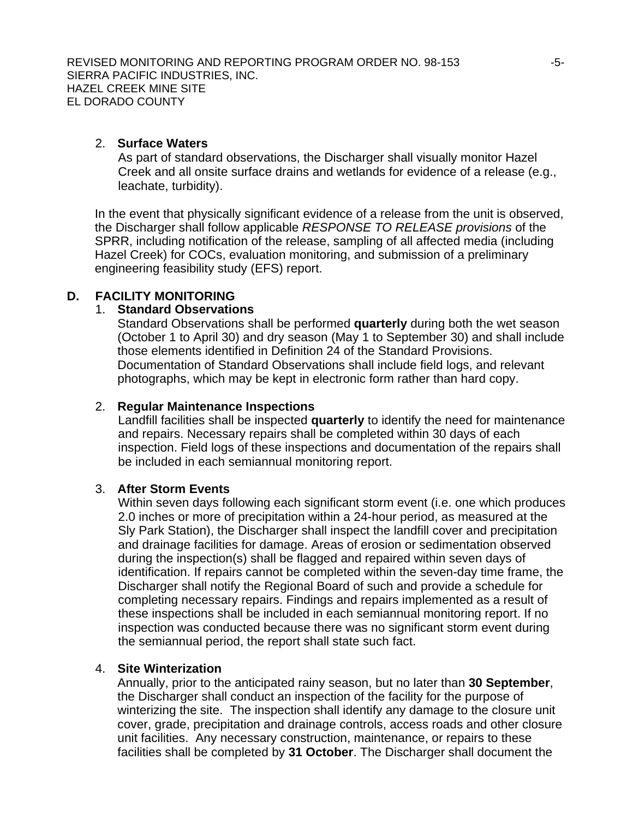## 2. **Surface Waters**

As part of standard observations, the Discharger shall visually monitor Hazel Creek and all onsite surface drains and wetlands for evidence of a release (e.g., leachate, turbidity).

In the event that physically significant evidence of a release from the unit is observed, the Discharger shall follow applicable *RESPONSE TO RELEASE provisions* of the SPRR, including notification of the release, sampling of all affected media (including Hazel Creek) for COCs, evaluation monitoring, and submission of a preliminary engineering feasibility study (EFS) report.

## <span id="page-4-0"></span>**D. FACILITY MONITORING**

### 1. **Standard Observations**

Standard Observations shall be performed **quarterly** during both the wet season (October 1 to April 30) and dry season (May 1 to September 30) and shall include those elements identified in Definition 24 of the Standard Provisions. Documentation of Standard Observations shall include field logs, and relevant photographs, which may be kept in electronic form rather than hard copy.

## <span id="page-4-1"></span>2. **Regular Maintenance Inspections**

Landfill facilities shall be inspected **quarterly** to identify the need for maintenance and repairs. Necessary repairs shall be completed within 30 days of each inspection. Field logs of these inspections and documentation of the repairs shall be included in each semiannual monitoring report.

### <span id="page-4-2"></span>3. **After Storm Events**

Within seven days following each significant storm event (i.e. one which produces 2.0 inches or more of precipitation within a 24-hour period, as measured at the Sly Park Station), the Discharger shall inspect the landfill cover and precipitation and drainage facilities for damage. Areas of erosion or sedimentation observed during the inspection(s) shall be flagged and repaired within seven days of identification. If repairs cannot be completed within the seven-day time frame, the Discharger shall notify the Regional Board of such and provide a schedule for completing necessary repairs. Findings and repairs implemented as a result of these inspections shall be included in each semiannual monitoring report. If no inspection was conducted because there was no significant storm event during the semiannual period, the report shall state such fact.

#### <span id="page-4-3"></span>4. **Site Winterization**

Annually, prior to the anticipated rainy season, but no later than **30 September**, the Discharger shall conduct an inspection of the facility for the purpose of winterizing the site. The inspection shall identify any damage to the closure unit cover, grade, precipitation and drainage controls, access roads and other closure unit facilities. Any necessary construction, maintenance, or repairs to these facilities shall be completed by **31 October**. The Discharger shall document the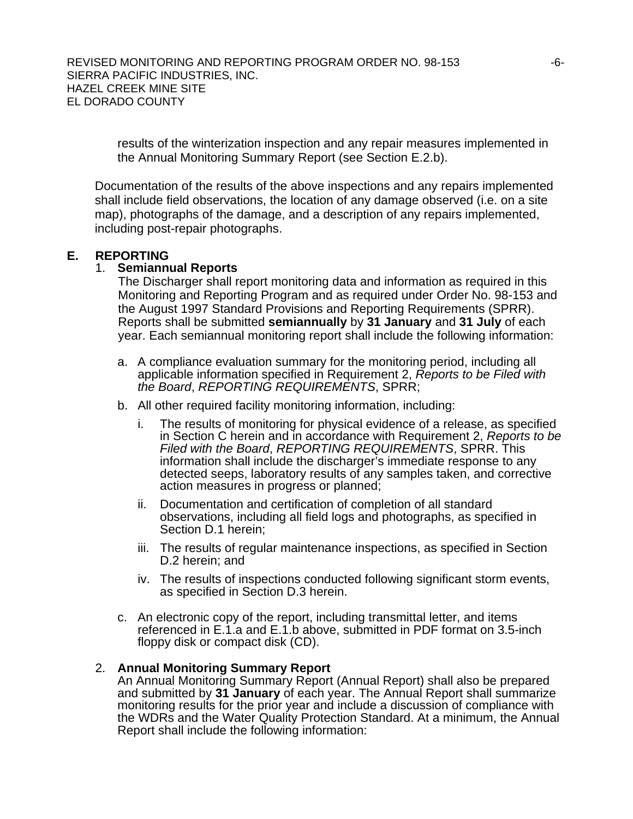REVISED MONITORING AND REPORTING PROGRAM ORDER NO. 98-153  $-6$ -SIERRA PACIFIC INDUSTRIES, INC. HAZEL CREEK MINE SITE EL DORADO COUNTY

results of the winterization inspection and any repair measures implemented in the Annual Monitoring Summary Report (see Section E.2.b).

Documentation of the results of the above inspections and any repairs implemented shall include field observations, the location of any damage observed (i.e. on a site map), photographs of the damage, and a description of any repairs implemented, including post-repair photographs.

## **E. REPORTING**

## 1. **Semiannual Reports**

The Discharger shall report monitoring data and information as required in this Monitoring and Reporting Program and as required under Order No. 98-153 and the August 1997 Standard Provisions and Reporting Requirements (SPRR). Reports shall be submitted **semiannually** by **31 January** and **31 July** of each year. Each semiannual monitoring report shall include the following information:

- a. A compliance evaluation summary for the monitoring period, including all applicable information specified in Requirement 2, *Reports to be Filed with the Board*, *REPORTING REQUIREMENTS*, SPRR;
- b. All other required facility monitoring information, including:
	- i. The results of monitoring for physical evidence of a release, as specified in Section [C](#page-1-0) herein and in accordance with Requirement 2, *Reports to be Filed with the Board*, *REPORTING REQUIREMENTS*, SPRR. This information shall include the discharger's immediate response to any detected seeps, laboratory results of any samples taken, and corrective action measures in progress or planned;
	- ii. Documentation and certification of completion of all standard observations, including all field logs and photographs, as specified in Section [D.1](#page-4-0) herein;
	- iii. The results of regular maintenance inspections, as specified in Section [D.2](#page-4-1) herein; and
	- iv. The results of inspections conducted following significant storm events, as specified in Section [D.3](#page-4-2) herein.
- c. An electronic copy of the report, including transmittal letter, and items referenced in E.1.a and E.1.b above, submitted in PDF format on 3.5-inch floppy disk or compact disk (CD).

## 2. **Annual Monitoring Summary Report**

An Annual Monitoring Summary Report (Annual Report) shall also be prepared and submitted by **31 January** of each year. The Annual Report shall summarize monitoring results for the prior year and include a discussion of compliance with the WDRs and the Water Quality Protection Standard. At a minimum, the Annual Report shall include the following information: